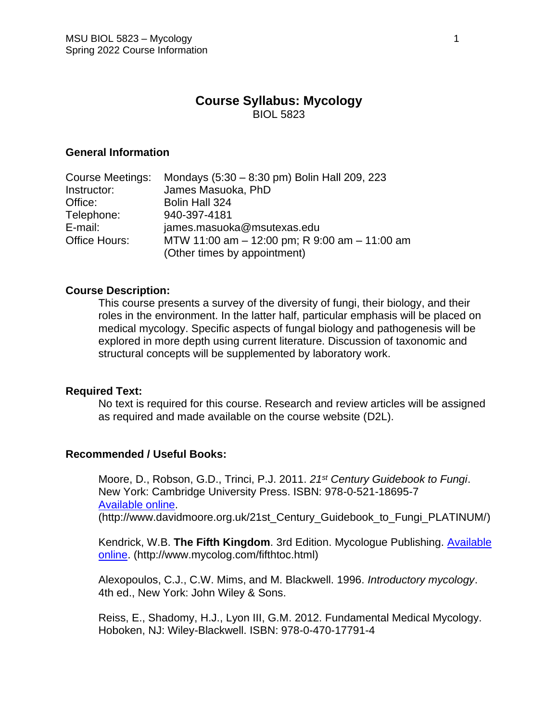# **Course Syllabus: Mycology** BIOL 5823

#### **General Information**

| Mondays (5:30 - 8:30 pm) Bolin Hall 209, 223                                  |
|-------------------------------------------------------------------------------|
| James Masuoka, PhD                                                            |
| Bolin Hall 324                                                                |
| 940-397-4181                                                                  |
| james.masuoka@msutexas.edu                                                    |
| MTW 11:00 am - 12:00 pm; R 9:00 am - 11:00 am<br>(Other times by appointment) |
|                                                                               |

#### **Course Description:**

This course presents a survey of the diversity of fungi, their biology, and their roles in the environment. In the latter half, particular emphasis will be placed on medical mycology. Specific aspects of fungal biology and pathogenesis will be explored in more depth using current literature. Discussion of taxonomic and structural concepts will be supplemented by laboratory work.

#### **Required Text:**

No text is required for this course. Research and review articles will be assigned as required and made available on the course website (D2L).

#### **Recommended / Useful Books:**

Moore, D., Robson, G.D., Trinci, P.J. 2011. *21st Century Guidebook to Fungi*. New York: Cambridge University Press. ISBN: 978-0-521-18695-7 [Available online.](http://www.davidmoore.org.uk/21st_Century_Guidebook_to_Fungi_PLATINUM/) (http://www.davidmoore.org.uk/21st\_Century\_Guidebook\_to\_Fungi\_PLATINUM/)

Kendrick, W.B. **The Fifth Kingdom**. 3rd Edition. Mycologue Publishing. [Available](http://www.mycolog.com/fifthtoc.html) 

[online.](http://www.mycolog.com/fifthtoc.html) (http://www.mycolog.com/fifthtoc.html)

Alexopoulos, C.J., C.W. Mims, and M. Blackwell. 1996. *Introductory mycology*. 4th ed., New York: John Wiley & Sons.

Reiss, E., Shadomy, H.J., Lyon III, G.M. 2012. Fundamental Medical Mycology. Hoboken, NJ: Wiley-Blackwell. ISBN: 978-0-470-17791-4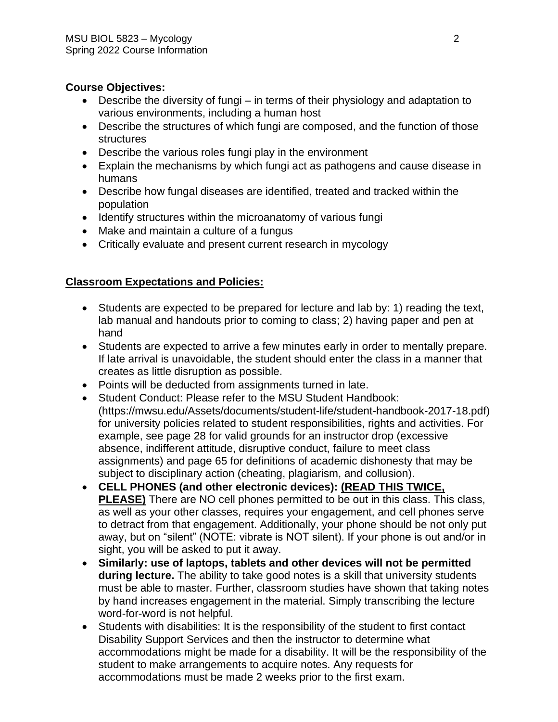# **Course Objectives:**

- Describe the diversity of fungi in terms of their physiology and adaptation to various environments, including a human host
- Describe the structures of which fungi are composed, and the function of those structures
- Describe the various roles fungi play in the environment
- Explain the mechanisms by which fungi act as pathogens and cause disease in humans
- Describe how fungal diseases are identified, treated and tracked within the population
- Identify structures within the microanatomy of various fungi
- Make and maintain a culture of a fungus
- Critically evaluate and present current research in mycology

# **Classroom Expectations and Policies:**

- Students are expected to be prepared for lecture and lab by: 1) reading the text, lab manual and handouts prior to coming to class; 2) having paper and pen at hand
- Students are expected to arrive a few minutes early in order to mentally prepare. If late arrival is unavoidable, the student should enter the class in a manner that creates as little disruption as possible.
- Points will be deducted from assignments turned in late.
- Student Conduct: Please refer to the MSU Student Handbook: (https://mwsu.edu/Assets/documents/student-life/student-handbook-2017-18.pdf) for university policies related to student responsibilities, rights and activities. For example, see page 28 for valid grounds for an instructor drop (excessive absence, indifferent attitude, disruptive conduct, failure to meet class assignments) and page 65 for definitions of academic dishonesty that may be subject to disciplinary action (cheating, plagiarism, and collusion).
- **CELL PHONES (and other electronic devices): (READ THIS TWICE, PLEASE)** There are NO cell phones permitted to be out in this class. This class, as well as your other classes, requires your engagement, and cell phones serve to detract from that engagement. Additionally, your phone should be not only put away, but on "silent" (NOTE: vibrate is NOT silent). If your phone is out and/or in sight, you will be asked to put it away.
- **Similarly: use of laptops, tablets and other devices will not be permitted during lecture.** The ability to take good notes is a skill that university students must be able to master. Further, classroom studies have shown that taking notes by hand increases engagement in the material. Simply transcribing the lecture word-for-word is not helpful.
- Students with disabilities: It is the responsibility of the student to first contact Disability Support Services and then the instructor to determine what accommodations might be made for a disability. It will be the responsibility of the student to make arrangements to acquire notes. Any requests for accommodations must be made 2 weeks prior to the first exam.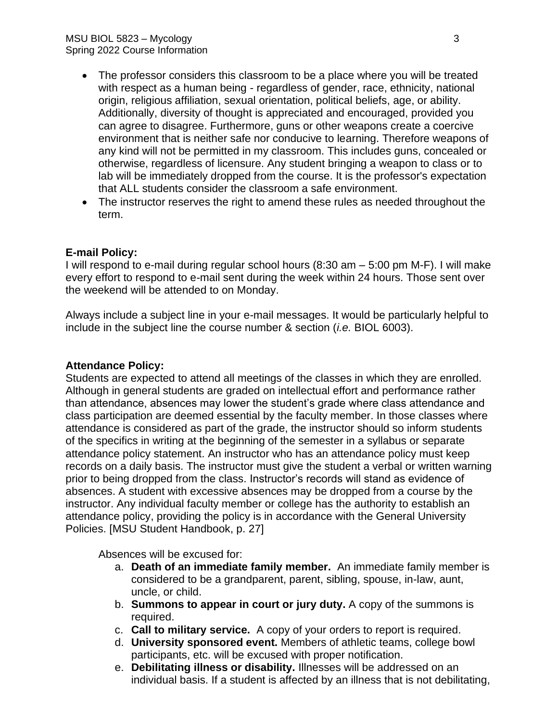- The professor considers this classroom to be a place where you will be treated with respect as a human being - regardless of gender, race, ethnicity, national origin, religious affiliation, sexual orientation, political beliefs, age, or ability. Additionally, diversity of thought is appreciated and encouraged, provided you can agree to disagree. Furthermore, guns or other weapons create a coercive environment that is neither safe nor conducive to learning. Therefore weapons of any kind will not be permitted in my classroom. This includes guns, concealed or otherwise, regardless of licensure. Any student bringing a weapon to class or to lab will be immediately dropped from the course. It is the professor's expectation that ALL students consider the classroom a safe environment.
- The instructor reserves the right to amend these rules as needed throughout the term.

# **E-mail Policy:**

I will respond to e-mail during regular school hours (8:30 am – 5:00 pm M-F). I will make every effort to respond to e-mail sent during the week within 24 hours. Those sent over the weekend will be attended to on Monday.

Always include a subject line in your e-mail messages. It would be particularly helpful to include in the subject line the course number & section (*i.e.* BIOL 6003).

#### **Attendance Policy:**

Students are expected to attend all meetings of the classes in which they are enrolled. Although in general students are graded on intellectual effort and performance rather than attendance, absences may lower the student's grade where class attendance and class participation are deemed essential by the faculty member. In those classes where attendance is considered as part of the grade, the instructor should so inform students of the specifics in writing at the beginning of the semester in a syllabus or separate attendance policy statement. An instructor who has an attendance policy must keep records on a daily basis. The instructor must give the student a verbal or written warning prior to being dropped from the class. Instructor's records will stand as evidence of absences. A student with excessive absences may be dropped from a course by the instructor. Any individual faculty member or college has the authority to establish an attendance policy, providing the policy is in accordance with the General University Policies. [MSU Student Handbook, p. 27]

Absences will be excused for:

- a. **Death of an immediate family member.** An immediate family member is considered to be a grandparent, parent, sibling, spouse, in-law, aunt, uncle, or child.
- b. **Summons to appear in court or jury duty.** A copy of the summons is required.
- c. **Call to military service.** A copy of your orders to report is required.
- d. **University sponsored event.** Members of athletic teams, college bowl participants, etc. will be excused with proper notification.
- e. **Debilitating illness or disability.** Illnesses will be addressed on an individual basis. If a student is affected by an illness that is not debilitating,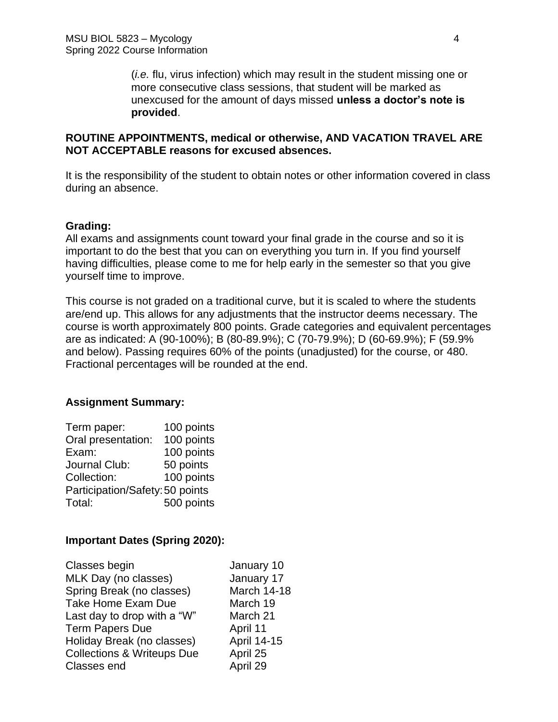(*i.e.* flu, virus infection) which may result in the student missing one or more consecutive class sessions, that student will be marked as unexcused for the amount of days missed **unless a doctor's note is provided**.

# **ROUTINE APPOINTMENTS, medical or otherwise, AND VACATION TRAVEL ARE NOT ACCEPTABLE reasons for excused absences.**

It is the responsibility of the student to obtain notes or other information covered in class during an absence.

# **Grading:**

All exams and assignments count toward your final grade in the course and so it is important to do the best that you can on everything you turn in. If you find yourself having difficulties, please come to me for help early in the semester so that you give yourself time to improve.

This course is not graded on a traditional curve, but it is scaled to where the students are/end up. This allows for any adjustments that the instructor deems necessary. The course is worth approximately 800 points. Grade categories and equivalent percentages are as indicated: A (90-100%); B (80-89.9%); C (70-79.9%); D (60-69.9%); F (59.9% and below). Passing requires 60% of the points (unadjusted) for the course, or 480. Fractional percentages will be rounded at the end.

# **Assignment Summary:**

| Term paper:                     | 100 points |
|---------------------------------|------------|
| Oral presentation:              | 100 points |
| Exam:                           | 100 points |
| Journal Club:                   | 50 points  |
| Collection:                     | 100 points |
| Participation/Safety: 50 points |            |
| Total:                          | 500 points |

#### **Important Dates (Spring 2020):**

| Classes begin                         | January 10         |
|---------------------------------------|--------------------|
| MLK Day (no classes)                  | January 17         |
| Spring Break (no classes)             | <b>March 14-18</b> |
| <b>Take Home Exam Due</b>             | March 19           |
| Last day to drop with a "W"           | March 21           |
| <b>Term Papers Due</b>                | April 11           |
| Holiday Break (no classes)            | April 14-15        |
| <b>Collections &amp; Writeups Due</b> | April 25           |
| Classes end                           | April 29           |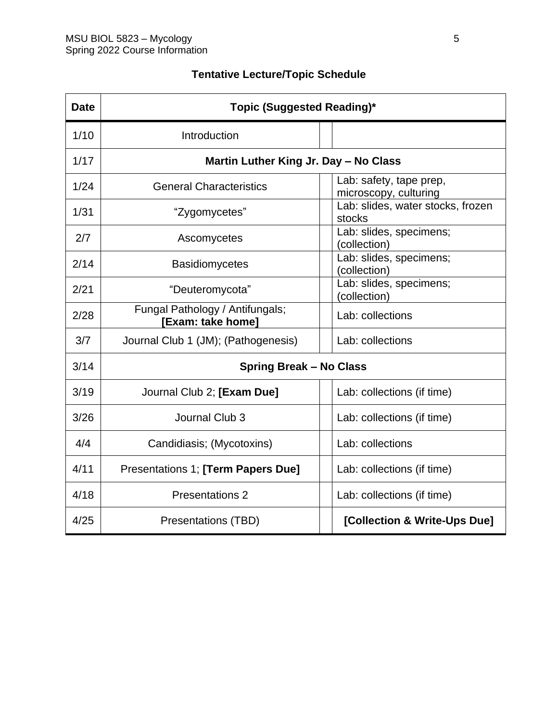| <b>Date</b> | Topic (Suggested Reading)*                           |  |                                                  |  |
|-------------|------------------------------------------------------|--|--------------------------------------------------|--|
| 1/10        | Introduction                                         |  |                                                  |  |
| 1/17        | Martin Luther King Jr. Day - No Class                |  |                                                  |  |
| 1/24        | <b>General Characteristics</b>                       |  | Lab: safety, tape prep,<br>microscopy, culturing |  |
| 1/31        | "Zygomycetes"                                        |  | Lab: slides, water stocks, frozen<br>stocks      |  |
| 2/7         | Ascomycetes                                          |  | Lab: slides, specimens;<br>(collection)          |  |
| 2/14        | <b>Basidiomycetes</b>                                |  | Lab: slides, specimens;<br>(collection)          |  |
| 2/21        | "Deuteromycota"                                      |  | Lab: slides, specimens;<br>(collection)          |  |
| 2/28        | Fungal Pathology / Antifungals;<br>[Exam: take home] |  | Lab: collections                                 |  |
| 3/7         | Journal Club 1 (JM); (Pathogenesis)                  |  | Lab: collections                                 |  |
| 3/14        | <b>Spring Break - No Class</b>                       |  |                                                  |  |
| 3/19        | Journal Club 2; [Exam Due]                           |  | Lab: collections (if time)                       |  |
| 3/26        | Journal Club 3                                       |  | Lab: collections (if time)                       |  |
| 4/4         | Candidiasis; (Mycotoxins)                            |  | Lab: collections                                 |  |
| 4/11        | Presentations 1; [Term Papers Due]                   |  | Lab: collections (if time)                       |  |
| 4/18        | <b>Presentations 2</b>                               |  | Lab: collections (if time)                       |  |
| 4/25        | Presentations (TBD)                                  |  | [Collection & Write-Ups Due]                     |  |

# **Tentative Lecture/Topic Schedule**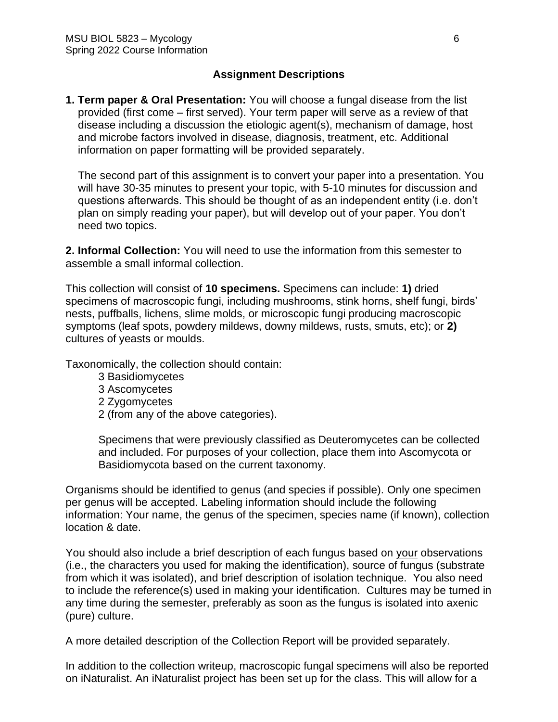# **Assignment Descriptions**

**1. Term paper & Oral Presentation:** You will choose a fungal disease from the list provided (first come – first served). Your term paper will serve as a review of that disease including a discussion the etiologic agent(s), mechanism of damage, host and microbe factors involved in disease, diagnosis, treatment, etc. Additional information on paper formatting will be provided separately.

The second part of this assignment is to convert your paper into a presentation. You will have 30-35 minutes to present your topic, with 5-10 minutes for discussion and questions afterwards. This should be thought of as an independent entity (i.e. don't plan on simply reading your paper), but will develop out of your paper. You don't need two topics.

**2. Informal Collection:** You will need to use the information from this semester to assemble a small informal collection.

This collection will consist of **10 specimens.** Specimens can include: **1)** dried specimens of macroscopic fungi, including mushrooms, stink horns, shelf fungi, birds' nests, puffballs, lichens, slime molds, or microscopic fungi producing macroscopic symptoms (leaf spots, powdery mildews, downy mildews, rusts, smuts, etc); or **2)** cultures of yeasts or moulds.

Taxonomically, the collection should contain:

- 3 Basidiomycetes
- 3 Ascomycetes
- 2 Zygomycetes
- 2 (from any of the above categories).

Specimens that were previously classified as Deuteromycetes can be collected and included. For purposes of your collection, place them into Ascomycota or Basidiomycota based on the current taxonomy.

Organisms should be identified to genus (and species if possible). Only one specimen per genus will be accepted. Labeling information should include the following information: Your name, the genus of the specimen, species name (if known), collection location & date.

You should also include a brief description of each fungus based on your observations (i.e., the characters you used for making the identification), source of fungus (substrate from which it was isolated), and brief description of isolation technique. You also need to include the reference(s) used in making your identification. Cultures may be turned in any time during the semester, preferably as soon as the fungus is isolated into axenic (pure) culture.

A more detailed description of the Collection Report will be provided separately.

In addition to the collection writeup, macroscopic fungal specimens will also be reported on iNaturalist. An iNaturalist project has been set up for the class. This will allow for a